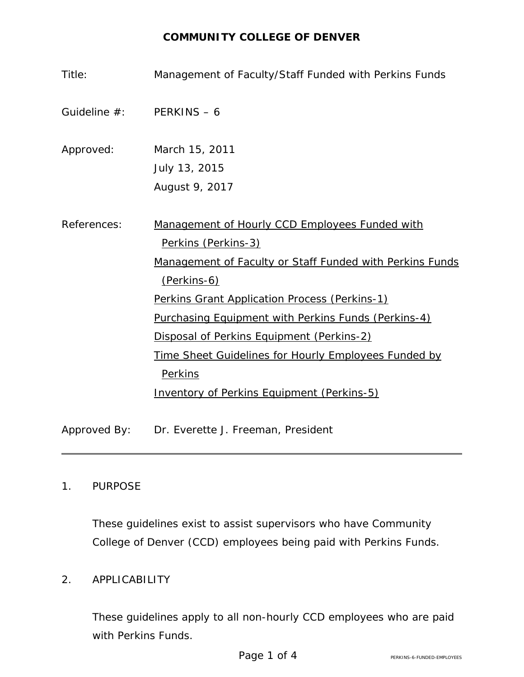#### **COMMUNITY COLLEGE OF DENVER**

| Title:                      | Management of Faculty/Staff Funded with Perkins Funds                                                                                                                                                                                                                                                        |
|-----------------------------|--------------------------------------------------------------------------------------------------------------------------------------------------------------------------------------------------------------------------------------------------------------------------------------------------------------|
| Guideline $#$ : PERKINS - 6 |                                                                                                                                                                                                                                                                                                              |
| Approved:                   | March 15, 2011                                                                                                                                                                                                                                                                                               |
|                             | July 13, 2015<br>August 9, 2017                                                                                                                                                                                                                                                                              |
| References:                 | Management of Hourly CCD Employees Funded with<br>Perkins (Perkins-3)<br>Management of Faculty or Staff Funded with Perkins Funds<br>(Perkins-6)<br>Perkins Grant Application Process (Perkins-1)<br><b>Purchasing Equipment with Perkins Funds (Perkins-4)</b><br>Disposal of Perkins Equipment (Perkins-2) |
|                             | Time Sheet Guidelines for Hourly Employees Funded by<br>Perkins<br><b>Inventory of Perkins Equipment (Perkins-5)</b>                                                                                                                                                                                         |
| Approved By:                | Dr. Everette J. Freeman, President                                                                                                                                                                                                                                                                           |

#### 1. PURPOSE

These guidelines exist to assist supervisors who have Community College of Denver (CCD) employees being paid with Perkins Funds.

# 2. APPLICABILITY

These guidelines apply to all non-hourly CCD employees who are paid with Perkins Funds.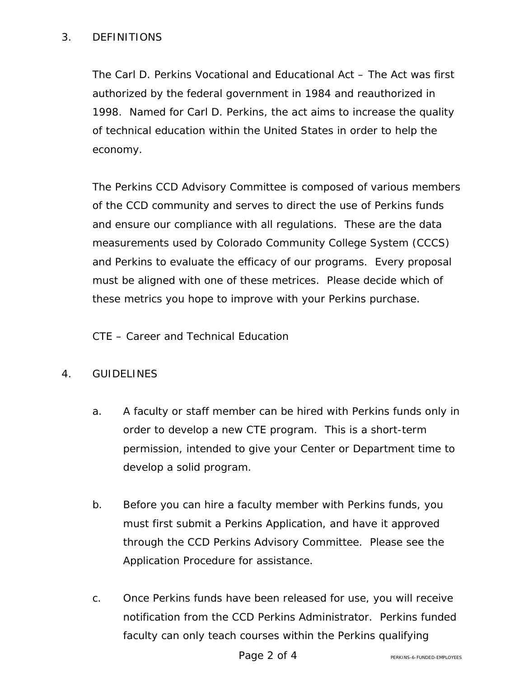### 3. DEFINITIONS

The Carl D. Perkins Vocational and Educational Act – The Act was first authorized by the federal government in 1984 and reauthorized in 1998. Named for Carl D. Perkins, the act aims to increase the quality of technical education within the United States in order to help the economy.

The Perkins CCD Advisory Committee is composed of various members of the CCD community and serves to direct the use of Perkins funds and ensure our compliance with all regulations. These are the data measurements used by Colorado Community College System (CCCS) and Perkins to evaluate the efficacy of our programs. Every proposal must be aligned with one of these metrices. Please decide which of these metrics you hope to improve with your Perkins purchase.

CTE – Career and Technical Education

# 4. GUIDELINES

- a. A faculty or staff member can be hired with Perkins funds only in order to develop a new CTE program. This is a short-term permission, intended to give your Center or Department time to develop a solid program.
- b. Before you can hire a faculty member with Perkins funds, you must first submit a Perkins Application, and have it approved through the CCD Perkins Advisory Committee. Please see the Application Procedure for assistance.
- c. Once Perkins funds have been released for use, you will receive notification from the CCD Perkins Administrator. Perkins funded faculty can only teach courses within the Perkins qualifying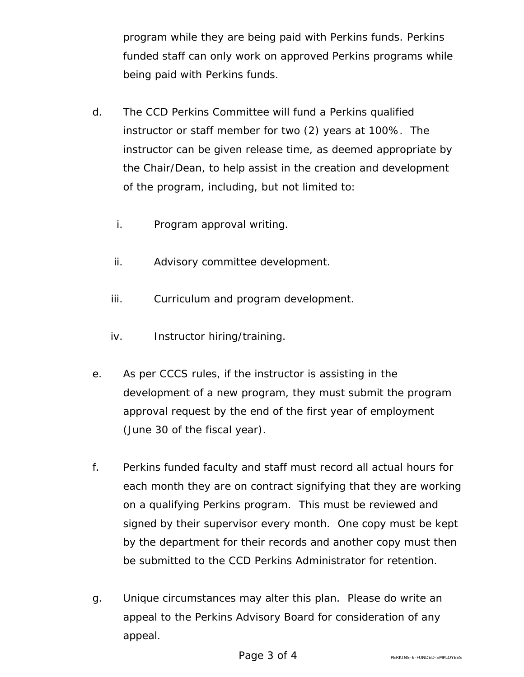program while they are being paid with Perkins funds. Perkins funded staff can only work on approved Perkins programs while being paid with Perkins funds.

- d. The CCD Perkins Committee will fund a Perkins qualified instructor or staff member for two (2) years at 100%. The instructor can be given release time, as deemed appropriate by the Chair/Dean, to help assist in the creation and development of the program, including, but not limited to:
	- i. Program approval writing.
	- ii. Advisory committee development.
	- iii. Curriculum and program development.
	- iv. Instructor hiring/training.
- e. As per CCCS rules, if the instructor is assisting in the development of a new program, they must submit the program approval request by the end of the first year of employment (June 30 of the fiscal year).
- f. Perkins funded faculty and staff must record all actual hours for each month they are on contract signifying that they are working on a qualifying Perkins program. This must be reviewed and signed by their supervisor every month. One copy must be kept by the department for their records and another copy must then be submitted to the CCD Perkins Administrator for retention.
- g. Unique circumstances may alter this plan. Please do write an appeal to the Perkins Advisory Board for consideration of any appeal.